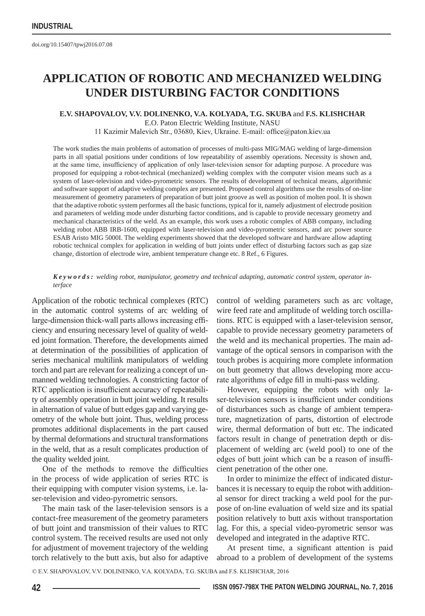## **Application of robotic and mechanized welding under disturbing factor conditions**

## **E.V. SHAPOVALOV, V.V. DOLINENKO, V.A. KOLYADA, T.G. SKUBA** and **F.S. KLISHCHAR**

E.O. Paton Electric Welding Institute, NASU

11 Kazimir Malevich Str., 03680, Kiev, Ukraine. E-mail: office@paton.kiev.ua

The work studies the main problems of automation of processes of multi-pass MIG/MAG welding of large-dimension parts in all spatial positions under conditions of low repeatability of assembly operations. Necessity is shown and, at the same time, insufficiency of application of only laser-television sensor for adapting purpose. A procedure was proposed for equipping a robot-technical (mechanized) welding complex with the computer vision means such as a system of laser-television and video-pyrometric sensors. The results of development of technical means, algorithmic and software support of adaptive welding complex are presented. Proposed control algorithms use the results of on-line measurement of geometry parameters of preparation of butt joint groove as well as position of molten pool. It is shown that the adaptive robotic system performes all the basic functions, typical for it, namely adjustment of electrode position and parameters of welding mode under disturbing factor conditions, and is capable to provide necessary geometry and mechanical characteristics of the weld. As an example, this work uses a robotic complex of ABB company, including welding robot ABB IRB-1600, equipped with laser-television and video-pyrometric sensors, and arc power source ESAB Aristo MIG 5000I. The welding experiments showed that the developed software and hardware allow adapting robotic technical complex for application in welding of butt joints under effect of disturbing factors such as gap size change, distortion of electrode wire, ambient temperature change etc. 8 Ref., 6 Figures.

## *Keywords: welding robot, manipulator, geometry and technical adapting, automatic control system, operator interface*

Application of the robotic technical complexes (RTC) in the automatic control systems of arc welding of large-dimension thick-wall parts allows increasing efficiency and ensuring necessary level of quality of welded joint formation. Therefore, the developments aimed at determination of the possibilities of application of series mechanical multilink manipulators of welding torch and part are relevant for realizing a concept of unmanned welding technologies. A constricting factor of RTC application is insufficient accuracy of repeatability of assembly operation in butt joint welding. It results in alternation of value of butt edges gap and varying geometry of the whole butt joint. Thus, welding process promotes additional displacements in the part caused by thermal deformations and structural transformations in the weld, that as a result complicates production of the quality welded joint.

One of the methods to remove the difficulties in the process of wide application of series RTC is their equipping with computer vision systems, i.e. laser-television and video-pyrometric sensors.

The main task of the laser-television sensors is a contact-free measurement of the geometry parameters of butt joint and transmission of their values to RTC control system. The received results are used not only for adjustment of movement trajectory of the welding torch relatively to the butt axis, but also for adaptive control of welding parameters such as arc voltage, wire feed rate and amplitude of welding torch oscillations. RTC is equipped with a laser-television sensor, capable to provide necessary geometry parameters of the weld and its mechanical properties. The main advantage of the optical sensors in comparison with the touch probes is acquiring more complete information on butt geometry that allows developing more accurate algorithms of edge fill in multi-pass welding.

However, equipping the robots with only laser-television sensors is insufficient under conditions of disturbances such as change of ambient temperature, magnetization of parts, distortion of electrode wire, thermal deformation of butt etc. The indicated factors result in change of penetration depth or displacement of welding arc (weld pool) to one of the edges of butt joint which can be a reason of insufficient penetration of the other one.

In order to minimize the effect of indicated disturbances it is necessary to equip the robot with additional sensor for direct tracking a weld pool for the purpose of on-line evaluation of weld size and its spatial position relatively to butt axis without transportation lag. For this, a special video-pyrometric sensor was developed and integrated in the adaptive RTC.

At present time, a significant attention is paid abroad to a problem of development of the systems

© E.V. SHAPOVALOV, V.V. DOLINENKO, V.A. KOLYADA, T.G. SKUBA and F.S. KLISHCHAR, 2016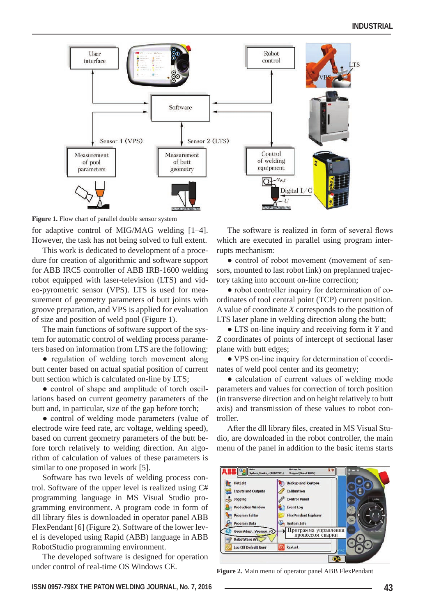

**Figure 1.** Flow chart of parallel double sensor system

for adaptive control of MIG/MAG welding [1–4]. However, the task has not being solved to full extent.

This work is dedicated to development of a procedure for creation of algorithmic and software support for ABB IRC5 controller of ABB IRB-1600 welding robot equipped with laser-television (LTS) and video-pyrometric sensor (VPS). LTS is used for measurement of geometry parameters of butt joints with groove preparation, and VPS is applied for evaluation of size and position of weld pool (Figure 1).

The main functions of software support of the system for automatic control of welding process parameters based on information from LTS are the following:

• regulation of welding torch movement along butt center based on actual spatial position of current butt section which is calculated on-line by LTS;

• control of shape and amplitude of torch oscillations based on current geometry parameters of the butt and, in particular, size of the gap before torch;

• control of welding mode parameters (value of electrode wire feed rate, arc voltage, welding speed), based on current geometry parameters of the butt before torch relatively to welding direction. An algorithm of calculation of values of these parameters is similar to one proposed in work [5].

Software has two levels of welding process control. Software of the upper level is realized using C# programming language in MS Visual Studio programming environment. A program code in form of dll library files is downloaded in operator panel ABB FlexPendant [6] (Figure 2). Software of the lower level is developed using Rapid (ABB) language in ABB RobotStudio programming environment.

The developed software is designed for operation under control of real-time OS Windows CE.

The software is realized in form of several flows which are executed in parallel using program interrupts mechanism:

• control of robot movement (movement of sensors, mounted to last robot link) on preplanned trajectory taking into account on-line correction;

• robot controller inquiry for determination of coordinates of tool central point (TCP) current position. A value of coordinate *X* corresponds to the position of LTS laser plane in welding direction along the butt;

● LTS on-line inquiry and receiving form it *Y* and *Z* coordinates of points of intercept of sectional laser plane with butt edges;

● VPS on-line inquiry for determination of coordinates of weld pool center and its geometry;

● calculation of current values of welding mode parameters and values for correction of torch position (in transverse direction and on height relatively to butt axis) and transmission of these values to robot controller.

After the dll library files, created in MS Visual Studio, are downloaded in the robot controller, the main menu of the panel in addition to the basic items starts



**Figure 2.** Main menu of operator panel ABB FlexPendant

**ISSN 0957-798X THE PATON WELDING JOURNAL, No. 7, 2016 43**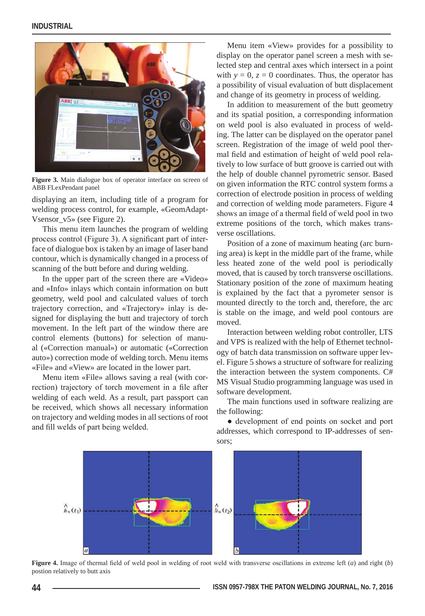

**Figure 3.** Main dialogue box of operator interface on screen of ABB FLexPendant panel

displaying an item, including title of a program for welding process control, for example, «GeomAdapt-Vsensor\_v5» (see Figure 2).

This menu item launches the program of welding process control (Figure 3). A significant part of interface of dialogue box is taken by an image of laser band contour, which is dynamically changed in a process of scanning of the butt before and during welding.

In the upper part of the screen there are «Video» and «Info» inlays which contain information on butt geometry, weld pool and calculated values of torch trajectory correction, and «Trajectory» inlay is designed for displaying the butt and trajectory of torch movement. In the left part of the window there are control elements (buttons) for selection of manual («Correction manual») or automatic («Correction auto») correction mode of welding torch. Menu items «File» and «View» are located in the lower part.

Menu item «File» allows saving a real (with correction) trajectory of torch movement in a file after welding of each weld. As a result, part passport can be received, which shows all necessary information on trajectory and welding modes in all sections of root and fill welds of part being welded.

Menu item «View» provides for a possibility to display on the operator panel screen a mesh with selected step and central axes which intersect in a point with  $y = 0$ ,  $z = 0$  coordinates. Thus, the operator has a possibility of visual evaluation of butt displacement and change of its geometry in process of welding.

In addition to measurement of the butt geometry and its spatial position, a corresponding information on weld pool is also evaluated in process of welding. The latter can be displayed on the operator panel screen. Registration of the image of weld pool thermal field and estimation of height of weld pool relatively to low surface of butt groove is carried out with the help of double channel pyrometric sensor. Based on given information the RTC control system forms a correction of electrode position in process of welding and correction of welding mode parameters. Figure 4 shows an image of a thermal field of weld pool in two extreme positions of the torch, which makes transverse oscillations.

Position of a zone of maximum heating (arc burning area) is kept in the middle part of the frame, while less heated zone of the weld pool is periodically moved, that is caused by torch transverse oscillations. Stationary position of the zone of maximum heating is explained by the fact that a pyrometer sensor is mounted directly to the torch and, therefore, the arc is stable on the image, and weld pool contours are moved.

Interaction between welding robot controller, LTS and VPS is realized with the help of Ethernet technology of batch data transmission on software upper level. Figure 5 shows a structure of software for realizing the interaction between the system components. C# MS Visual Studio programming language was used in software development.

The main functions used in software realizing are the following:

● development of end points on socket and port addresses, which correspond to IP-addresses of sensors;



**Figure 4.** Image of thermal field of weld pool in welding of root weld with transverse oscillations in extreme left (*a*) and right (*b*) postion relatively to butt axis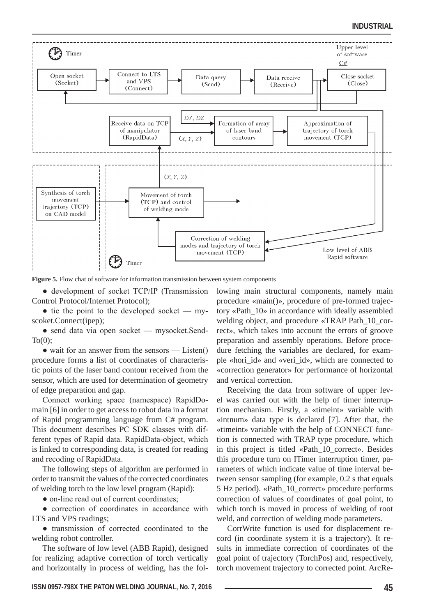

**Figure 5.** Flow chat of software for information transmission between system components

• development of socket TCP/IP (Transmission Control Protocol/Internet Protocol);

 $\bullet$  tie the point to the developed socket — myscoket.Connect(ipep);

• send data via open socket — mysocket.Send- $To(0)$ :

 $\bullet$  wait for an answer from the sensors — Listen() procedure forms a list of coordinates of characteristic points of the laser band contour received from the sensor, which are used for determination of geometry of edge preparation and gap.

Connect working space (namespace) RapidDomain [6] in order to get access to robot data in a format of Rapid programming language from C# program. This document describes PC SDK classes with different types of Rapid data. RapidData-object, which is linked to corresponding data, is created for reading and recoding of RapidData.

The following steps of algorithm are performed in order to transmit the values of the corrected coordinates of welding torch to the low level program (Rapid):

• on-line read out of current coordinates;

● correction of coordinates in accordance with LTS and VPS readings;

● transmission of corrected coordinated to the welding robot controller.

The software of low level (ABB Rapid), designed for realizing adaptive correction of torch vertically and horizontally in process of welding, has the following main structural components, namely main procedure «main()», procedure of pre-formed trajectory «Path\_10» in accordance with ideally assembled welding object, and procedure «TRAP Path\_10\_correct», which takes into account the errors of groove preparation and assembly operations. Before procedure fetching the variables are declared, for example «hori\_id» and «veri\_id», which are connected to «correction generator» for performance of horizontal and vertical correction.

Receiving the data from software of upper level was carried out with the help of timer interruption mechanism. Firstly, a «timeint» variable with «intnum» data type is declared [7]. After that, the «timeint» variable with the help of CONNECT function is connected with TRAP type procedure, which in this project is titled «Path\_10\_correct». Besides this procedure turn on ITimer interruption timer, parameters of which indicate value of time interval between sensor sampling (for example, 0.2 s that equals 5 Hz period). «Path\_10\_correct» procedure performs correction of values of coordinates of goal point, to which torch is moved in process of welding of root weld, and correction of welding mode parameters.

CorrWrite function is used for displacement record (in coordinate system it is a trajectory). It results in immediate correction of coordinates of the goal point of trajectory (TorchPos) and, respectively, torch movement trajectory to corrected point. ArcRe-